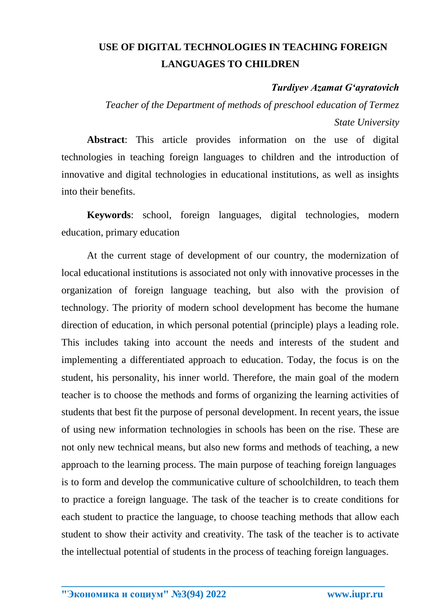## **USE OF DIGITAL TECHNOLOGIES IN TEACHING FOREIGN LANGUAGES TO CHILDREN**

## *Turdiyev Azamat Gʻayratovich*

*Teacher of the Department of methods of preschool education of Termez State University*

**Abstract**: This article provides information on the use of digital technologies in teaching foreign languages to children and the introduction of innovative and digital technologies in educational institutions, as well as insights into their benefits.

**Keywords**: school, foreign languages, digital technologies, modern education, primary education

At the current stage of development of our country, the modernization of local educational institutions is associated not only with innovative processes in the organization of foreign language teaching, but also with the provision of technology. The priority of modern school development has become the humane direction of education, in which personal potential (principle) plays a leading role. This includes taking into account the needs and interests of the student and implementing a differentiated approach to education. Today, the focus is on the student, his personality, his inner world. Therefore, the main goal of the modern teacher is to choose the methods and forms of organizing the learning activities of students that best fit the purpose of personal development. In recent years, the issue of using new information technologies in schools has been on the rise. These are not only new technical means, but also new forms and methods of teaching, a new approach to the learning process. The main purpose of teaching foreign languages is to form and develop the communicative culture of schoolchildren, to teach them to practice a foreign language. The task of the teacher is to create conditions for each student to practice the language, to choose teaching methods that allow each student to show their activity and creativity. The task of the teacher is to activate the intellectual potential of students in the process of teaching foreign languages.

**\_\_\_\_\_\_\_\_\_\_\_\_\_\_\_\_\_\_\_\_\_\_\_\_\_\_\_\_\_\_\_\_\_\_\_\_\_\_\_\_\_\_\_\_\_\_\_\_\_\_\_\_\_\_\_\_\_\_\_\_\_\_\_\_**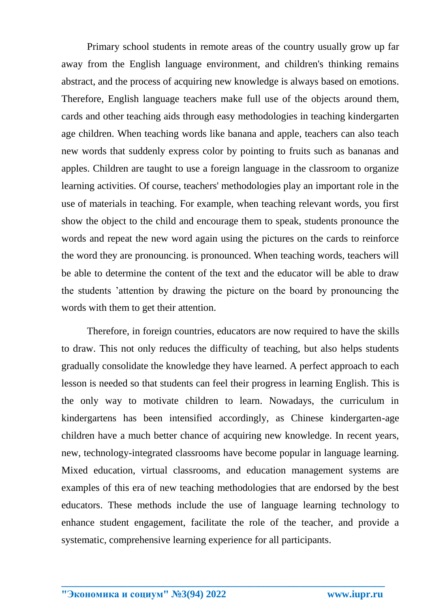Primary school students in remote areas of the country usually grow up far away from the English language environment, and children's thinking remains abstract, and the process of acquiring new knowledge is always based on emotions. Therefore, English language teachers make full use of the objects around them, cards and other teaching aids through easy methodologies in teaching kindergarten age children. When teaching words like banana and apple, teachers can also teach new words that suddenly express color by pointing to fruits such as bananas and apples. Children are taught to use a foreign language in the classroom to organize learning activities. Of course, teachers' methodologies play an important role in the use of materials in teaching. For example, when teaching relevant words, you first show the object to the child and encourage them to speak, students pronounce the words and repeat the new word again using the pictures on the cards to reinforce the word they are pronouncing. is pronounced. When teaching words, teachers will be able to determine the content of the text and the educator will be able to draw the students 'attention by drawing the picture on the board by pronouncing the words with them to get their attention.

Therefore, in foreign countries, educators are now required to have the skills to draw. This not only reduces the difficulty of teaching, but also helps students gradually consolidate the knowledge they have learned. A perfect approach to each lesson is needed so that students can feel their progress in learning English. This is the only way to motivate children to learn. Nowadays, the curriculum in kindergartens has been intensified accordingly, as Chinese kindergarten-age children have a much better chance of acquiring new knowledge. In recent years, new, technology-integrated classrooms have become popular in language learning. Mixed education, virtual classrooms, and education management systems are examples of this era of new teaching methodologies that are endorsed by the best educators. These methods include the use of language learning technology to enhance student engagement, facilitate the role of the teacher, and provide a systematic, comprehensive learning experience for all participants.

**\_\_\_\_\_\_\_\_\_\_\_\_\_\_\_\_\_\_\_\_\_\_\_\_\_\_\_\_\_\_\_\_\_\_\_\_\_\_\_\_\_\_\_\_\_\_\_\_\_\_\_\_\_\_\_\_\_\_\_\_\_\_\_\_**